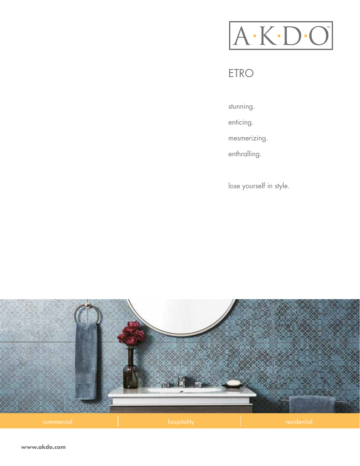

## ETRO

stunning.

enticing.

mesmerizing.

enthralling.

lose yourself in style.



**www.akdo.com**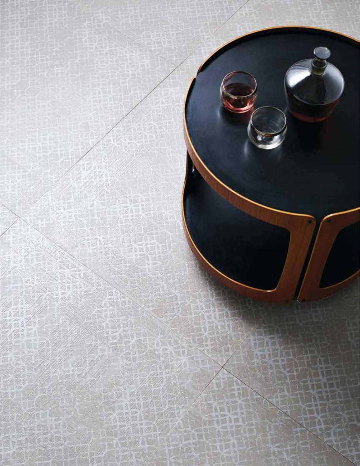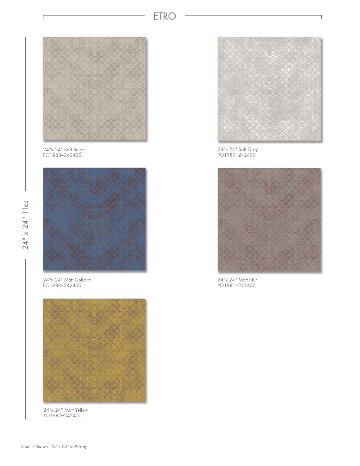

24"x 24" Soft Beige PO1988–242400



24"x 24" Matt Cobalto PO1980–242400



24"x 24" Matt Yellow PO1987–242400



24"x 24" Soft Grey PO1989–242400



24"x 24" Matt Nut PO1981–242400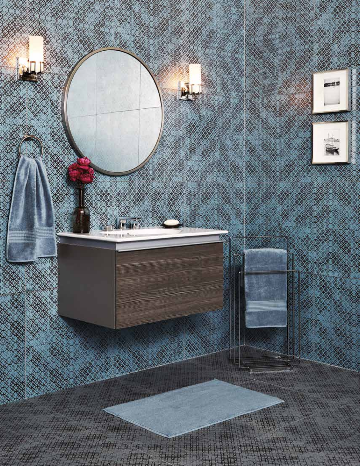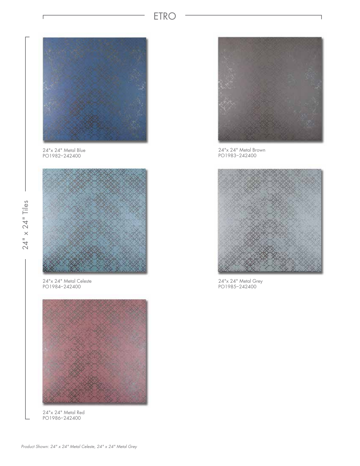## ETRO



24"x 24" Metal Blue PO1982–242400



24"x 24" Metal Celeste PO1984–242400



24"x 24" Metal Red PO1986–242400



24"x 24" Metal Brown PO1983–242400



24"x 24" Metal Grey PO1985–242400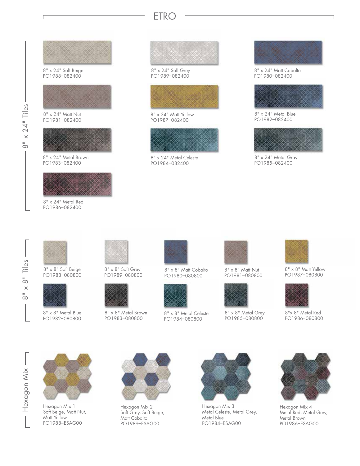

Hexagon Mix 1 Soft Beige, Matt Nut, Matt Yellow PO1988–ESAG00



Hexagon Mix 2 Soft Grey, Soft Beige, Matt Cobalto PO1989–ESAG00



Hexagon Mix 3 Metal Celeste, Metal Grey, Metal Blue PO1984–ESAG00



Hexagon Mix 4 Metal Red, Metal Grey, Metal Brown PO1986–ESAG00



8" x 8" Metal Blue PO1982–080800



8" x 8" Soft Beige PO1988–080800



8" x 8" Soft Grey

8" x 8" Metal Brown PO1983–080800



PO1980–080800



8" x 8" Matt Cobalto





8" x 8" Metal Celeste PO1984–080800





8" x 8" Matt Nut PO1981–080800



8" x 8" Metal Grey PO1985–080800



8" x 8" Matt Yellow PO1987–080800



8"x 8" Metal Red PO1986–080800





8" x 24" Metal Red PO1986–082400



8" x 24" Metal Brown PO1983–082400



8" x 24" Matt Nut PO1981–082400

 $8" \times 24"$  Tiles

 $\times$  24"

 $\overline{8}$ 

Tiles

 $\frac{1}{\infty}$  $\times$  $\equiv$  $\infty$ 

 $\frac{1}{\sqrt{2}}$ 



8" x 24" Soft Beige PO1988–082400



8" x 24" Metal Celeste PO1984–082400



PO1985–082400

8" x 24" Metal Blue PO1982–082400



8" x 24" Matt Cobalto PO1980–082400





8" x 24" Soft Grey PO1989–082400

8" x 24" Matt Yellow PO1987–082400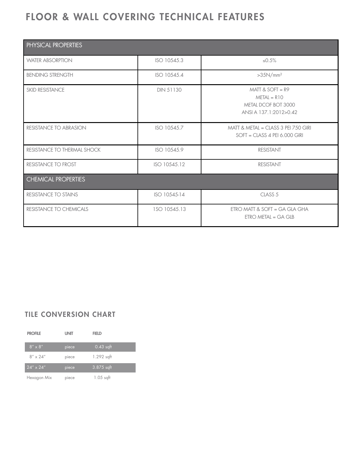## FLOOR & WALL COVERING TECHNICAL FEATURES

| PHYSICAL PROPERTIES                |                  |                                                                                     |  |
|------------------------------------|------------------|-------------------------------------------------------------------------------------|--|
| <b>WATER ABSORPTION</b>            | ISO 10545.3      | ≤ $0.5%$                                                                            |  |
| <b>BENDING STRENGTH</b>            | ISO 10545.4      | >35N/mm <sup>2</sup>                                                                |  |
| <b>SKID RESISTANCE</b>             | <b>DIN 51130</b> | $MATR$ & SOFT = R9<br>$META = R10$<br>METAL DCOF BOT 3000<br>ANSI A 137.1:2012>0.42 |  |
| <b>RESISTANCE TO ABRASION</b>      | ISO 10545.7      | MATT & METAL = CLASS 3 PEI 750 GIRI<br>$SOFT = CLASS 4 PEI 6.000 GIRI$              |  |
| <b>RESISTANCE TO THERMAL SHOCK</b> | ISO 10545.9      | <b>RESISTANT</b>                                                                    |  |
| <b>RESISTANCE TO FROST</b>         | ISO 10545.12     | <b>RESISTANT</b>                                                                    |  |
| <b>CHEMICAL PROPERTIES</b>         |                  |                                                                                     |  |
| <b>RESISTANCE TO STAINS</b>        | ISO 10545-14     | CLASS <sub>5</sub>                                                                  |  |
| <b>RESISTANCE TO CHEMICALS</b>     | 1SO 10545.13     | ETRO MATT & SOFT = GA GLA GHA<br>$ETRO METAL = GA GLB$                              |  |

## TILE CONVERSION CHART

| <b>PROFILE</b>      | <b>UNIT</b> | <b>FIELD</b> |  |
|---------------------|-------------|--------------|--|
| $8'' \times 8''$    | piece       | $0.43$ sqft  |  |
| $8'' \times 24''$   | piece       | $1.292$ sqft |  |
| $124'' \times 24''$ | piece       | $3.875$ sqft |  |
| Hexagon Mix         | piece       | $1.05$ sqft  |  |